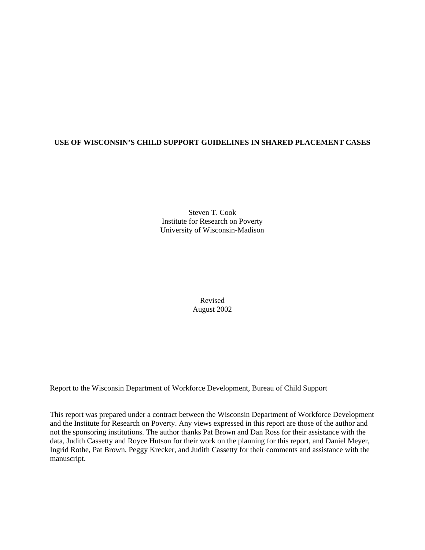# **USE OF WISCONSIN'S CHILD SUPPORT GUIDELINES IN SHARED PLACEMENT CASES**

Steven T. Cook Institute for Research on Poverty University of Wisconsin-Madison

> Revised August 2002

Report to the Wisconsin Department of Workforce Development, Bureau of Child Support

This report was prepared under a contract between the Wisconsin Department of Workforce Development and the Institute for Research on Poverty. Any views expressed in this report are those of the author and not the sponsoring institutions. The author thanks Pat Brown and Dan Ross for their assistance with the data, Judith Cassetty and Royce Hutson for their work on the planning for this report, and Daniel Meyer, Ingrid Rothe, Pat Brown, Peggy Krecker, and Judith Cassetty for their comments and assistance with the manuscript.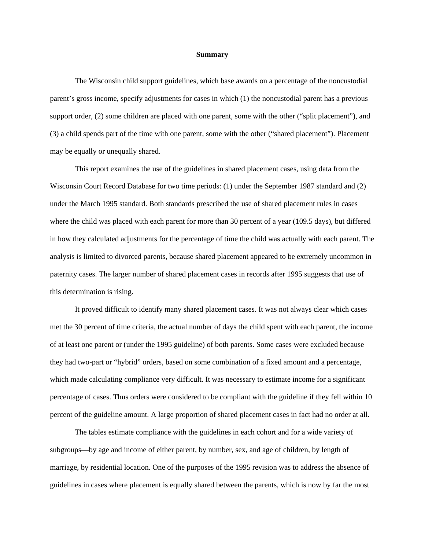#### **Summary**

The Wisconsin child support guidelines, which base awards on a percentage of the noncustodial parent's gross income, specify adjustments for cases in which (1) the noncustodial parent has a previous support order, (2) some children are placed with one parent, some with the other ("split placement"), and (3) a child spends part of the time with one parent, some with the other ("shared placement"). Placement may be equally or unequally shared.

This report examines the use of the guidelines in shared placement cases, using data from the Wisconsin Court Record Database for two time periods: (1) under the September 1987 standard and (2) under the March 1995 standard. Both standards prescribed the use of shared placement rules in cases where the child was placed with each parent for more than 30 percent of a year (109.5 days), but differed in how they calculated adjustments for the percentage of time the child was actually with each parent. The analysis is limited to divorced parents, because shared placement appeared to be extremely uncommon in paternity cases. The larger number of shared placement cases in records after 1995 suggests that use of this determination is rising.

It proved difficult to identify many shared placement cases. It was not always clear which cases met the 30 percent of time criteria, the actual number of days the child spent with each parent, the income of at least one parent or (under the 1995 guideline) of both parents. Some cases were excluded because they had two-part or "hybrid" orders, based on some combination of a fixed amount and a percentage, which made calculating compliance very difficult. It was necessary to estimate income for a significant percentage of cases. Thus orders were considered to be compliant with the guideline if they fell within 10 percent of the guideline amount. A large proportion of shared placement cases in fact had no order at all.

The tables estimate compliance with the guidelines in each cohort and for a wide variety of subgroups—by age and income of either parent, by number, sex, and age of children, by length of marriage, by residential location. One of the purposes of the 1995 revision was to address the absence of guidelines in cases where placement is equally shared between the parents, which is now by far the most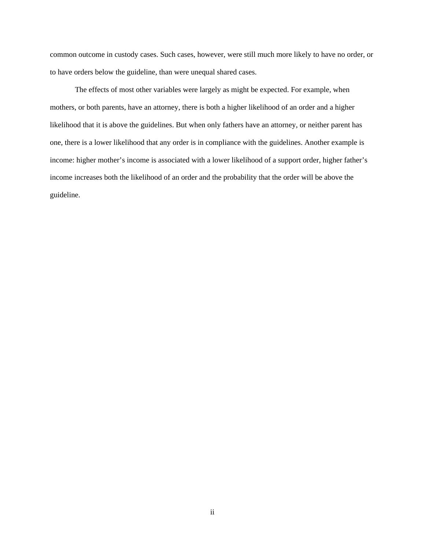common outcome in custody cases. Such cases, however, were still much more likely to have no order, or to have orders below the guideline, than were unequal shared cases.

The effects of most other variables were largely as might be expected. For example, when mothers, or both parents, have an attorney, there is both a higher likelihood of an order and a higher likelihood that it is above the guidelines. But when only fathers have an attorney, or neither parent has one, there is a lower likelihood that any order is in compliance with the guidelines. Another example is income: higher mother's income is associated with a lower likelihood of a support order, higher father's income increases both the likelihood of an order and the probability that the order will be above the guideline.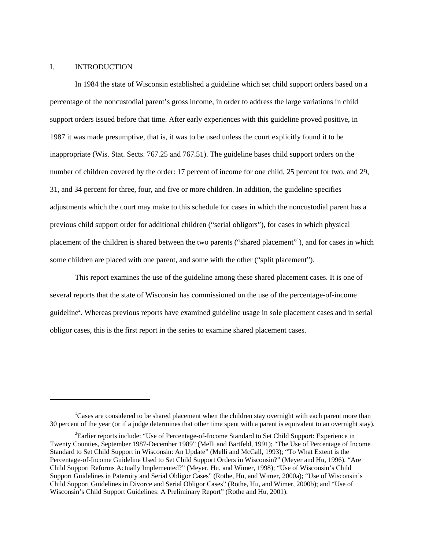# I. INTRODUCTION

l

In 1984 the state of Wisconsin established a guideline which set child support orders based on a percentage of the noncustodial parent's gross income, in order to address the large variations in child support orders issued before that time. After early experiences with this guideline proved positive, in 1987 it was made presumptive, that is, it was to be used unless the court explicitly found it to be inappropriate (Wis. Stat. Sects. 767.25 and 767.51). The guideline bases child support orders on the number of children covered by the order: 17 percent of income for one child, 25 percent for two, and 29, 31, and 34 percent for three, four, and five or more children. In addition, the guideline specifies adjustments which the court may make to this schedule for cases in which the noncustodial parent has a previous child support order for additional children ("serial obligors"), for cases in which physical placement of the children is shared between the two parents ("shared placement"<sup>[1](#page-3-0)</sup>), and for cases in which some children are placed with one parent, and some with the other ("split placement").

This report examines the use of the guideline among these shared placement cases. It is one of several reports that the state of Wisconsin has commissioned on the use of the percentage-of-income guideline[2](#page-3-1) . Whereas previous reports have examined guideline usage in sole placement cases and in serial obligor cases, this is the first report in the series to examine shared placement cases.

<span id="page-3-0"></span><sup>&</sup>lt;sup>1</sup>Cases are considered to be shared placement when the children stay overnight with each parent more than 30 percent of the year (or if a judge determines that other time spent with a parent is equivalent to an overnight stay).

<span id="page-3-1"></span><sup>&</sup>lt;sup>2</sup>Earlier reports include: "Use of Percentage-of-Income Standard to Set Child Support: Experience in Twenty Counties, September 1987-December 1989" (Melli and Bartfeld, 1991); "The Use of Percentage of Income Standard to Set Child Support in Wisconsin: An Update" (Melli and McCall, 1993); "To What Extent is the Percentage-of-Income Guideline Used to Set Child Support Orders in Wisconsin?" (Meyer and Hu, 1996). "Are Child Support Reforms Actually Implemented?" (Meyer, Hu, and Wimer, 1998); "Use of Wisconsin's Child Support Guidelines in Paternity and Serial Obligor Cases" (Rothe, Hu, and Wimer, 2000a); "Use of Wisconsin's Child Support Guidelines in Divorce and Serial Obligor Cases" (Rothe, Hu, and Wimer, 2000b); and "Use of Wisconsin's Child Support Guidelines: A Preliminary Report" (Rothe and Hu, 2001).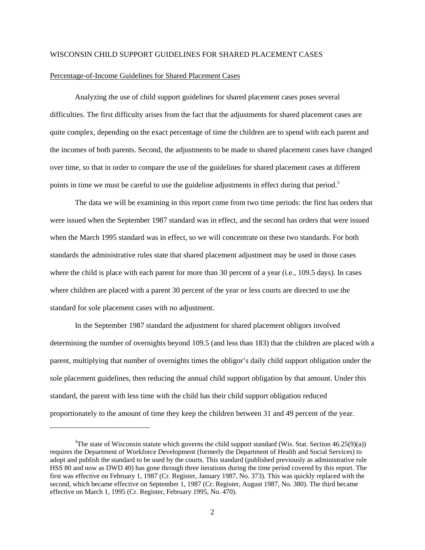#### WISCONSIN CHILD SUPPORT GUIDELINES FOR SHARED PLACEMENT CASES

#### Percentage-of-Income Guidelines for Shared Placement Cases

1

Analyzing the use of child support guidelines for shared placement cases poses several difficulties. The first difficulty arises from the fact that the adjustments for shared placement cases are quite complex, depending on the exact percentage of time the children are to spend with each parent and the incomes of both parents. Second, the adjustments to be made to shared placement cases have changed over time, so that in order to compare the use of the guidelines for shared placement cases at different points in time we must be careful to use the guideline adjustments in effect during that period.<sup>[3](#page-4-0)</sup>

The data we will be examining in this report come from two time periods: the first has orders that were issued when the September 1987 standard was in effect, and the second has orders that were issued when the March 1995 standard was in effect, so we will concentrate on these two standards. For both standards the administrative rules state that shared placement adjustment may be used in those cases where the child is place with each parent for more than 30 percent of a year (i.e., 109.5 days). In cases where children are placed with a parent 30 percent of the year or less courts are directed to use the standard for sole placement cases with no adjustment.

In the September 1987 standard the adjustment for shared placement obligors involved determining the number of overnights beyond 109.5 (and less than 183) that the children are placed with a parent, multiplying that number of overnights times the obligor's daily child support obligation under the sole placement guidelines, then reducing the annual child support obligation by that amount. Under this standard, the parent with less time with the child has their child support obligation reduced proportionately to the amount of time they keep the children between 31 and 49 percent of the year.

<span id="page-4-0"></span><sup>&</sup>lt;sup>3</sup>The state of Wisconsin statute which governs the child support standard (Wis. Stat. Section 46.25(9)(a)) requires the Department of Workforce Development (formerly the Department of Health and Social Services) to adopt and publish the standard to be used by the courts. This standard (published previously as administrative rule HSS 80 and now as DWD 40) has gone through three iterations during the time period covered by this report. The first was effective on February 1, 1987 (Cr. Register, January 1987, No. 373). This was quickly replaced with the second, which became effective on September 1, 1987 (Cr. Register, August 1987, No. 380). The third became effective on March 1, 1995 (Cr. Register, February 1995, No. 470).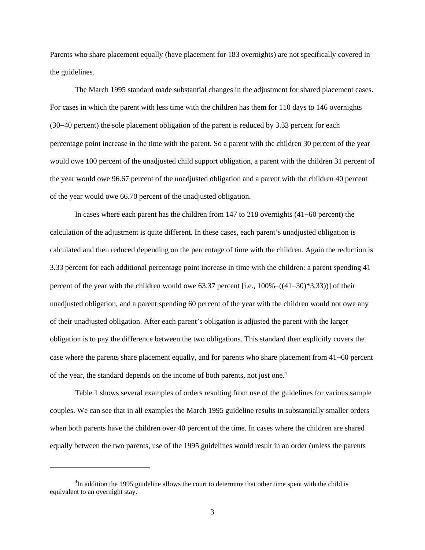Parents who share placement equally (have placement for 183 overnights) are not specifically covered in the guidelines.

The March 1995 standard made substantial changes in the adjustment for shared placement cases. For cases in which the parent with less time with the children has them for 110 days to 146 overnights (30−40 percent) the sole placement obligation of the parent is reduced by 3.33 percent for each percentage point increase in the time with the parent. So a parent with the children 30 percent of the year would owe 100 percent of the unadjusted child support obligation, a parent with the children 31 percent of the year would owe 96.67 percent of the unadjusted obligation and a parent with the children 40 percent of the year would owe 66.70 percent of the unadjusted obligation.

In cases where each parent has the children from 147 to 218 overnights (41−60 percent) the calculation of the adjustment is quite different. In these cases, each parent's unadjusted obligation is calculated and then reduced depending on the percentage of time with the children. Again the reduction is 3.33 percent for each additional percentage point increase in time with the children: a parent spending 41 percent of the year with the children would owe 63.37 percent [i.e., 100%−((41−30)\*3.33))] of their unadjusted obligation, and a parent spending 60 percent of the year with the children would not owe any of their unadjusted obligation. After each parent's obligation is adjusted the parent with the larger obligation is to pay the difference between the two obligations. This standard then explicitly covers the case where the parents share placement equally, and for parents who share placement from 41−60 percent of the year, the standard depends on the income of both parents, not just one.<sup>4</sup>

Table 1 shows several examples of orders resulting from use of the guidelines for various sample couples. We can see that in all examples the March 1995 guideline results in substantially smaller orders when both parents have the children over 40 percent of the time. In cases where the children are shared equally between the two parents, use of the 1995 guidelines would result in an order (unless the parents

l

<span id="page-5-0"></span><sup>&</sup>lt;sup>4</sup>In addition the 1995 guideline allows the court to determine that other time spent with the child is equivalent to an overnight stay.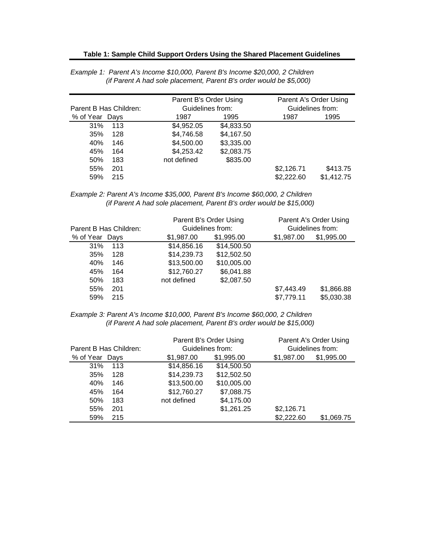|  | Table 1: Sample Child Support Orders Using the Shared Placement Guidelines |  |
|--|----------------------------------------------------------------------------|--|
|  |                                                                            |  |

|                |                        | Parent B's Order Using |            |            | Parent A's Order Using |  |  |
|----------------|------------------------|------------------------|------------|------------|------------------------|--|--|
|                | Parent B Has Children: | Guidelines from:       |            |            | Guidelines from:       |  |  |
| % of Year Days |                        | 1987                   | 1995       | 1987       | 1995                   |  |  |
| 31%            | 113                    | \$4,952.05             | \$4,833.50 |            |                        |  |  |
| 35%            | 128                    | \$4,746.58             | \$4,167.50 |            |                        |  |  |
| 40%            | 146                    | \$4,500.00             | \$3,335.00 |            |                        |  |  |
| 45%            | 164                    | \$4,253.42             | \$2,083.75 |            |                        |  |  |
| 50%            | 183                    | not defined            | \$835.00   |            |                        |  |  |
| 55%            | 201                    |                        |            | \$2,126.71 | \$413.75               |  |  |
| 59%            | 215                    |                        |            | \$2,222.60 | \$1,412.75             |  |  |

*Example 1: Parent A's Income \$10,000, Parent B's Income \$20,000, 2 Children (if Parent A had sole placement, Parent B's order would be \$5,000)*

*Example 2: Parent A's Income \$35,000, Parent B's Income \$60,000, 2 Children (if Parent A had sole placement, Parent B's order would be \$15,000)*

|                        |             | Parent B's Order Using |            | Parent A's Order Using |
|------------------------|-------------|------------------------|------------|------------------------|
| Parent B Has Children: |             | Guidelines from:       |            | Guidelines from:       |
| % of Year Days         | \$1,987.00  | \$1,995.00             | \$1,987.00 | \$1,995.00             |
| 31%<br>113             | \$14,856.16 | \$14,500.50            |            |                        |
| 35%<br>128             | \$14,239.73 | \$12,502.50            |            |                        |
| 40%<br>146             | \$13,500.00 | \$10,005.00            |            |                        |
| 45%<br>164             | \$12,760.27 | \$6,041.88             |            |                        |
| 50%<br>183             | not defined | \$2,087.50             |            |                        |
| 55%<br>201             |             |                        | \$7,443.49 | \$1,866.88             |
| 59%<br>215             |             |                        | \$7,779.11 | \$5,030.38             |

*Example 3: Parent A's Income \$10,000, Parent B's Income \$60,000, 2 Children (if Parent A had sole placement, Parent B's order would be \$15,000)*

|                        |             | Parent B's Order Using |            | Parent A's Order Using |
|------------------------|-------------|------------------------|------------|------------------------|
| Parent B Has Children: |             | Guidelines from:       |            | Guidelines from:       |
| % of Year Days         | \$1,987.00  | \$1,995.00             | \$1,987.00 | \$1,995.00             |
| 31%<br>113             | \$14,856.16 | \$14,500.50            |            |                        |
| 35%<br>128             | \$14,239.73 | \$12,502.50            |            |                        |
| 40%<br>146             | \$13,500.00 | \$10,005.00            |            |                        |
| 45%<br>164             | \$12,760.27 | \$7,088.75             |            |                        |
| 50%<br>183             | not defined | \$4,175.00             |            |                        |
| 55%<br>201             |             | \$1,261.25             | \$2,126.71 |                        |
| 59%<br>215             |             |                        | \$2,222.60 | \$1,069.75             |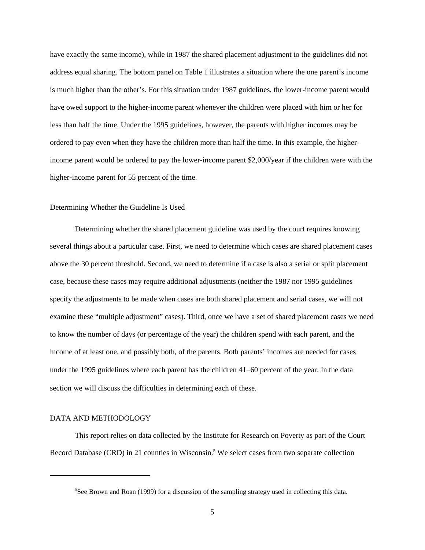have exactly the same income), while in 1987 the shared placement adjustment to the guidelines did not address equal sharing. The bottom panel on Table 1 illustrates a situation where the one parent's income is much higher than the other's. For this situation under 1987 guidelines, the lower-income parent would have owed support to the higher-income parent whenever the children were placed with him or her for less than half the time. Under the 1995 guidelines, however, the parents with higher incomes may be ordered to pay even when they have the children more than half the time. In this example, the higherincome parent would be ordered to pay the lower-income parent \$2,000/year if the children were with the higher-income parent for 55 percent of the time.

#### Determining Whether the Guideline Is Used

Determining whether the shared placement guideline was used by the court requires knowing several things about a particular case. First, we need to determine which cases are shared placement cases above the 30 percent threshold. Second, we need to determine if a case is also a serial or split placement case, because these cases may require additional adjustments (neither the 1987 nor 1995 guidelines specify the adjustments to be made when cases are both shared placement and serial cases, we will not examine these "multiple adjustment" cases). Third, once we have a set of shared placement cases we need to know the number of days (or percentage of the year) the children spend with each parent, and the income of at least one, and possibly both, of the parents. Both parents' incomes are needed for cases under the 1995 guidelines where each parent has the children 41−60 percent of the year. In the data section we will discuss the difficulties in determining each of these.

#### DATA AND METHODOLOGY

l

This report relies on data collected by the Institute for Research on Poverty as part of the Court Record Database (CRD) in 21 counties in Wisconsin.<sup>5</sup> We select cases from two separate collection

<span id="page-7-0"></span><sup>&</sup>lt;sup>5</sup>See Brown and Roan (1999) for a discussion of the sampling strategy used in collecting this data.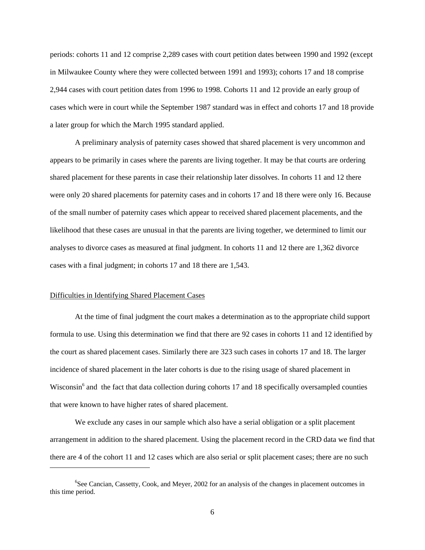periods: cohorts 11 and 12 comprise 2,289 cases with court petition dates between 1990 and 1992 (except in Milwaukee County where they were collected between 1991 and 1993); cohorts 17 and 18 comprise 2,944 cases with court petition dates from 1996 to 1998. Cohorts 11 and 12 provide an early group of cases which were in court while the September 1987 standard was in effect and cohorts 17 and 18 provide a later group for which the March 1995 standard applied.

A preliminary analysis of paternity cases showed that shared placement is very uncommon and appears to be primarily in cases where the parents are living together. It may be that courts are ordering shared placement for these parents in case their relationship later dissolves. In cohorts 11 and 12 there were only 20 shared placements for paternity cases and in cohorts 17 and 18 there were only 16. Because of the small number of paternity cases which appear to received shared placement placements, and the likelihood that these cases are unusual in that the parents are living together, we determined to limit our analyses to divorce cases as measured at final judgment. In cohorts 11 and 12 there are 1,362 divorce cases with a final judgment; in cohorts 17 and 18 there are 1,543.

### Difficulties in Identifying Shared Placement Cases

l

At the time of final judgment the court makes a determination as to the appropriate child support formula to use. Using this determination we find that there are 92 cases in cohorts 11 and 12 identified by the court as shared placement cases. Similarly there are 323 such cases in cohorts 17 and 18. The larger incidence of shared placement in the later cohorts is due to the rising usage of shared placement in Wisconsin<sup>6</sup> and the fact that data collection during cohorts 17 and 18 specifically oversampled counties that were known to have higher rates of shared placement.

We exclude any cases in our sample which also have a serial obligation or a split placement arrangement in addition to the shared placement. Using the placement record in the CRD data we find that there are 4 of the cohort 11 and 12 cases which are also serial or split placement cases; there are no such

<span id="page-8-0"></span><sup>&</sup>lt;sup>6</sup>See Cancian, Cassetty, Cook, and Meyer, 2002 for an analysis of the changes in placement outcomes in this time period.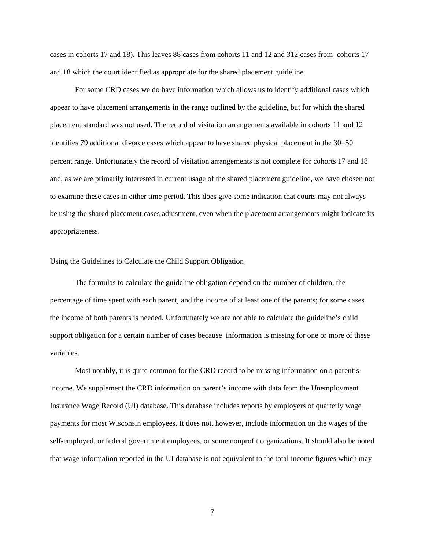cases in cohorts 17 and 18). This leaves 88 cases from cohorts 11 and 12 and 312 cases from cohorts 17 and 18 which the court identified as appropriate for the shared placement guideline.

For some CRD cases we do have information which allows us to identify additional cases which appear to have placement arrangements in the range outlined by the guideline, but for which the shared placement standard was not used. The record of visitation arrangements available in cohorts 11 and 12 identifies 79 additional divorce cases which appear to have shared physical placement in the 30−50 percent range. Unfortunately the record of visitation arrangements is not complete for cohorts 17 and 18 and, as we are primarily interested in current usage of the shared placement guideline, we have chosen not to examine these cases in either time period. This does give some indication that courts may not always be using the shared placement cases adjustment, even when the placement arrangements might indicate its appropriateness.

### Using the Guidelines to Calculate the Child Support Obligation

The formulas to calculate the guideline obligation depend on the number of children, the percentage of time spent with each parent, and the income of at least one of the parents; for some cases the income of both parents is needed. Unfortunately we are not able to calculate the guideline's child support obligation for a certain number of cases because information is missing for one or more of these variables.

Most notably, it is quite common for the CRD record to be missing information on a parent's income. We supplement the CRD information on parent's income with data from the Unemployment Insurance Wage Record (UI) database. This database includes reports by employers of quarterly wage payments for most Wisconsin employees. It does not, however, include information on the wages of the self-employed, or federal government employees, or some nonprofit organizations. It should also be noted that wage information reported in the UI database is not equivalent to the total income figures which may

7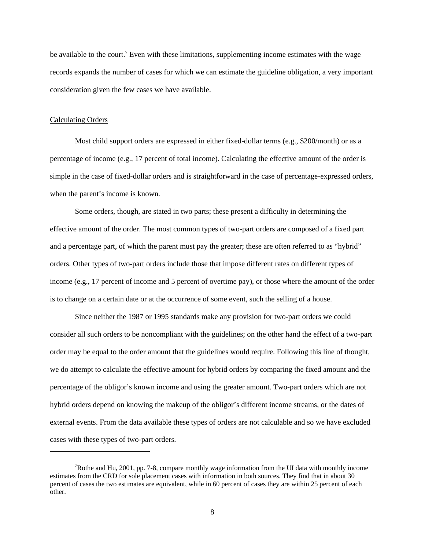be available to the court.<sup>[7](#page-10-0)</sup> Even with these limitations, supplementing income estimates with the wage records expands the number of cases for which we can estimate the guideline obligation, a very important consideration given the few cases we have available.

### Calculating Orders

1

Most child support orders are expressed in either fixed-dollar terms (e.g., \$200/month) or as a percentage of income (e.g., 17 percent of total income). Calculating the effective amount of the order is simple in the case of fixed-dollar orders and is straightforward in the case of percentage-expressed orders, when the parent's income is known.

Some orders, though, are stated in two parts; these present a difficulty in determining the effective amount of the order. The most common types of two-part orders are composed of a fixed part and a percentage part, of which the parent must pay the greater; these are often referred to as "hybrid" orders. Other types of two-part orders include those that impose different rates on different types of income (e.g., 17 percent of income and 5 percent of overtime pay), or those where the amount of the order is to change on a certain date or at the occurrence of some event, such the selling of a house.

Since neither the 1987 or 1995 standards make any provision for two-part orders we could consider all such orders to be noncompliant with the guidelines; on the other hand the effect of a two-part order may be equal to the order amount that the guidelines would require. Following this line of thought, we do attempt to calculate the effective amount for hybrid orders by comparing the fixed amount and the percentage of the obligor's known income and using the greater amount. Two-part orders which are not hybrid orders depend on knowing the makeup of the obligor's different income streams, or the dates of external events. From the data available these types of orders are not calculable and so we have excluded cases with these types of two-part orders.

<span id="page-10-0"></span><sup>&</sup>lt;sup>7</sup>Rothe and Hu, 2001, pp. 7-8, compare monthly wage information from the UI data with monthly income estimates from the CRD for sole placement cases with information in both sources. They find that in about 30 percent of cases the two estimates are equivalent, while in 60 percent of cases they are within 25 percent of each other.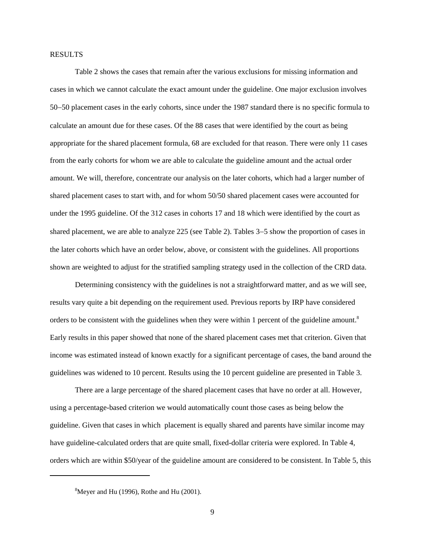#### RESULTS

Table 2 shows the cases that remain after the various exclusions for missing information and cases in which we cannot calculate the exact amount under the guideline. One major exclusion involves 50−50 placement cases in the early cohorts, since under the 1987 standard there is no specific formula to calculate an amount due for these cases. Of the 88 cases that were identified by the court as being appropriate for the shared placement formula, 68 are excluded for that reason. There were only 11 cases from the early cohorts for whom we are able to calculate the guideline amount and the actual order amount. We will, therefore, concentrate our analysis on the later cohorts, which had a larger number of shared placement cases to start with, and for whom 50/50 shared placement cases were accounted for under the 1995 guideline. Of the 312 cases in cohorts 17 and 18 which were identified by the court as shared placement, we are able to analyze 225 (see Table 2). Tables 3−5 show the proportion of cases in the later cohorts which have an order below, above, or consistent with the guidelines. All proportions shown are weighted to adjust for the stratified sampling strategy used in the collection of the CRD data.

Determining consistency with the guidelines is not a straightforward matter, and as we will see, results vary quite a bit depending on the requirement used. Previous reports by IRP have considered orders to be consistent with the guidelines when they were within 1 percent of the guideline amount.<sup>[8](#page-11-0)</sup> Early results in this paper showed that none of the shared placement cases met that criterion. Given that income was estimated instead of known exactly for a significant percentage of cases, the band around the guidelines was widened to 10 percent. Results using the 10 percent guideline are presented in Table 3.

There are a large percentage of the shared placement cases that have no order at all. However, using a percentage-based criterion we would automatically count those cases as being below the guideline. Given that cases in which placement is equally shared and parents have similar income may have guideline-calculated orders that are quite small, fixed-dollar criteria were explored. In Table 4, orders which are within \$50/year of the guideline amount are considered to be consistent. In Table 5, this

l

<span id="page-11-0"></span> ${}^{8}$ Meyer and Hu (1996), Rothe and Hu (2001).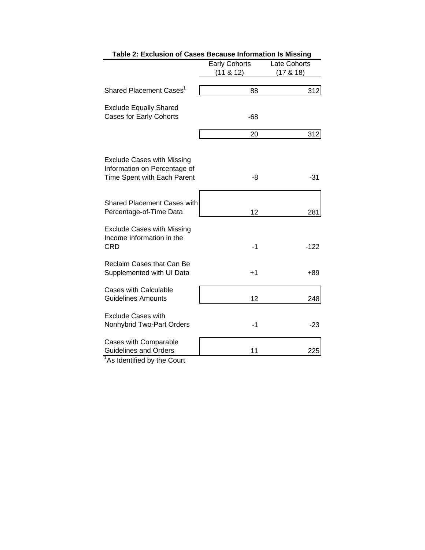|                                                                                                  | <b>Early Cohorts</b> | Late Cohorts  |
|--------------------------------------------------------------------------------------------------|----------------------|---------------|
|                                                                                                  | (11 & 8 & 12)        | (17 & 8 & 18) |
| Shared Placement Cases <sup>1</sup>                                                              | 88                   | 312           |
| <b>Exclude Equally Shared</b><br><b>Cases for Early Cohorts</b>                                  | $-68$                |               |
|                                                                                                  | 20                   | 312           |
| <b>Exclude Cases with Missing</b><br>Information on Percentage of<br>Time Spent with Each Parent | -8                   | -31           |
| <b>Shared Placement Cases with</b><br>Percentage-of-Time Data                                    | 12                   | 281           |
| <b>Exclude Cases with Missing</b><br>Income Information in the<br><b>CRD</b>                     | $-1$                 | $-122$        |
| Reclaim Cases that Can Be<br>Supplemented with UI Data                                           | $+1$                 | $+89$         |
| Cases with Calculable<br><b>Guidelines Amounts</b>                                               | 12                   | 248           |
| <b>Exclude Cases with</b><br>Nonhybrid Two-Part Orders                                           | $-1$                 | $-23$         |
| Cases with Comparable<br><b>Guidelines and Orders</b><br>$1_{A}$ . The contract to the $\alpha$  | 11                   | 225           |

| Table 2: Exclusion of Cases Because Information Is Missing |
|------------------------------------------------------------|
|                                                            |

<sup>1</sup>As Identified by the Court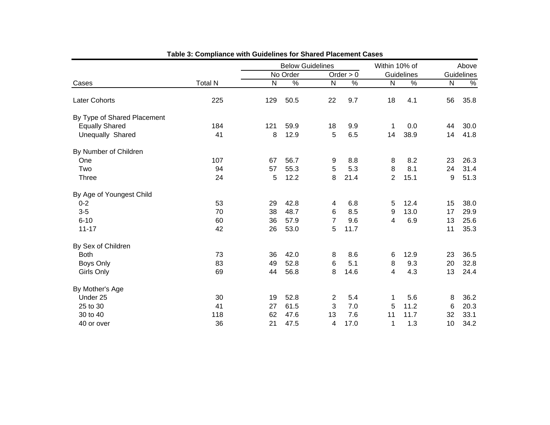|                             |                |     | <b>Below Guidelines</b> |                |             | Within 10% of  |      | Above     |            |  |
|-----------------------------|----------------|-----|-------------------------|----------------|-------------|----------------|------|-----------|------------|--|
|                             |                |     | No Order                |                | Order $> 0$ | Guidelines     |      |           | Guidelines |  |
| Cases                       | <b>Total N</b> | N   | $\%$                    | ${\sf N}$      | $\%$        | ${\sf N}$      | $\%$ | ${\sf N}$ | $\%$       |  |
| <b>Later Cohorts</b>        | 225            | 129 | 50.5                    | 22             | 9.7         | 18             | 4.1  | 56        | 35.8       |  |
| By Type of Shared Placement |                |     |                         |                |             |                |      |           |            |  |
| <b>Equally Shared</b>       | 184            | 121 | 59.9                    | 18             | 9.9         | 1              | 0.0  | 44        | 30.0       |  |
| Unequally Shared            | 41             | 8   | 12.9                    | 5              | 6.5         | 14             | 38.9 | 14        | 41.8       |  |
| By Number of Children       |                |     |                         |                |             |                |      |           |            |  |
| One                         | 107            | 67  | 56.7                    | 9              | 8.8         | 8              | 8.2  | 23        | 26.3       |  |
| Two                         | 94             | 57  | 55.3                    | 5              | 5.3         | 8              | 8.1  | 24        | 31.4       |  |
| <b>Three</b>                | 24             | 5   | 12.2                    | 8              | 21.4        | $\overline{2}$ | 15.1 | 9         | 51.3       |  |
| By Age of Youngest Child    |                |     |                         |                |             |                |      |           |            |  |
| $0 - 2$                     | 53             | 29  | 42.8                    | 4              | 6.8         | 5              | 12.4 | 15        | 38.0       |  |
| $3-5$                       | 70             | 38  | 48.7                    | 6              | 8.5         | 9              | 13.0 | 17        | 29.9       |  |
| $6 - 10$                    | 60             | 36  | 57.9                    | $\overline{7}$ | 9.6         | 4              | 6.9  | 13        | 25.6       |  |
| $11 - 17$                   | 42             | 26  | 53.0                    | 5              | 11.7        |                |      | 11        | 35.3       |  |
| By Sex of Children          |                |     |                         |                |             |                |      |           |            |  |
| <b>Both</b>                 | 73             | 36  | 42.0                    | 8              | 8.6         | 6              | 12.9 | 23        | 36.5       |  |
| Boys Only                   | 83             | 49  | 52.8                    | 6              | 5.1         | 8              | 9.3  | 20        | 32.8       |  |
| Girls Only                  | 69             | 44  | 56.8                    | 8              | 14.6        | 4              | 4.3  | 13        | 24.4       |  |
| By Mother's Age             |                |     |                         |                |             |                |      |           |            |  |
| Under 25                    | 30             | 19  | 52.8                    | $\overline{c}$ | 5.4         | 1              | 5.6  | 8         | 36.2       |  |
| 25 to 30                    | 41             | 27  | 61.5                    | 3              | 7.0         | 5              | 11.2 | 6         | 20.3       |  |
| 30 to 40                    | 118            | 62  | 47.6                    | 13             | 7.6         | 11             | 11.7 | 32        | 33.1       |  |
| 40 or over                  | 36             | 21  | 47.5                    | 4              | 17.0        | 1              | 1.3  | 10        | 34.2       |  |

| Table 3: Compliance with Guidelines for Shared Placement Cases |  |  |  |
|----------------------------------------------------------------|--|--|--|
|----------------------------------------------------------------|--|--|--|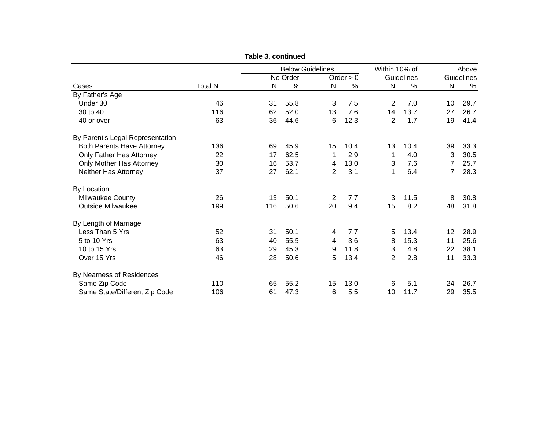|                                   |                |     | <b>Below Guidelines</b> |                |             | Within 10% of  |            |    | Above      |
|-----------------------------------|----------------|-----|-------------------------|----------------|-------------|----------------|------------|----|------------|
|                                   |                |     | No Order                |                | Order $> 0$ |                | Guidelines |    | Guidelines |
| Cases                             | <b>Total N</b> | N   | %                       | N              | $\%$        | N              | %          | N  | $\%$       |
| By Father's Age                   |                |     |                         |                |             |                |            |    |            |
| Under 30                          | 46             | 31  | 55.8                    | 3              | 7.5         | 2              | 7.0        | 10 | 29.7       |
| 30 to 40                          | 116            | 62  | 52.0                    | 13             | 7.6         | 14             | 13.7       | 27 | 26.7       |
| 40 or over                        | 63             | 36  | 44.6                    | 6              | 12.3        | $\overline{2}$ | 1.7        | 19 | 41.4       |
| By Parent's Legal Representation  |                |     |                         |                |             |                |            |    |            |
| <b>Both Parents Have Attorney</b> | 136            | 69  | 45.9                    | 15             | 10.4        | 13             | 10.4       | 39 | 33.3       |
| Only Father Has Attorney          | 22             | 17  | 62.5                    | 1              | 2.9         | 1              | 4.0        | 3  | 30.5       |
| Only Mother Has Attorney          | 30             | 16  | 53.7                    | 4              | 13.0        | 3              | 7.6        | 7  | 25.7       |
| Neither Has Attorney              | 37             | 27  | 62.1                    | $\overline{2}$ | 3.1         | 1              | 6.4        | 7  | 28.3       |
| By Location                       |                |     |                         |                |             |                |            |    |            |
| Milwaukee County                  | 26             | 13  | 50.1                    | $\overline{2}$ | 7.7         | 3              | 11.5       | 8  | 30.8       |
| Outside Milwaukee                 | 199            | 116 | 50.6                    | 20             | 9.4         | 15             | 8.2        | 48 | 31.8       |
| By Length of Marriage             |                |     |                         |                |             |                |            |    |            |
| Less Than 5 Yrs                   | 52             | 31  | 50.1                    | 4              | 7.7         | 5              | 13.4       | 12 | 28.9       |
| 5 to 10 Yrs                       | 63             | 40  | 55.5                    | 4              | 3.6         | 8              | 15.3       | 11 | 25.6       |
| 10 to 15 Yrs                      | 63             | 29  | 45.3                    | 9              | 11.8        | 3              | 4.8        | 22 | 38.1       |
| Over 15 Yrs                       | 46             | 28  | 50.6                    | 5              | 13.4        | 2              | 2.8        | 11 | 33.3       |
| By Nearness of Residences         |                |     |                         |                |             |                |            |    |            |
| Same Zip Code                     | 110            | 65  | 55.2                    | 15             | 13.0        | 6              | 5.1        | 24 | 26.7       |
| Same State/Different Zip Code     | 106            | 61  | 47.3                    | 6              | 5.5         | 10             | 11.7       | 29 | 35.5       |

**Table 3, continued**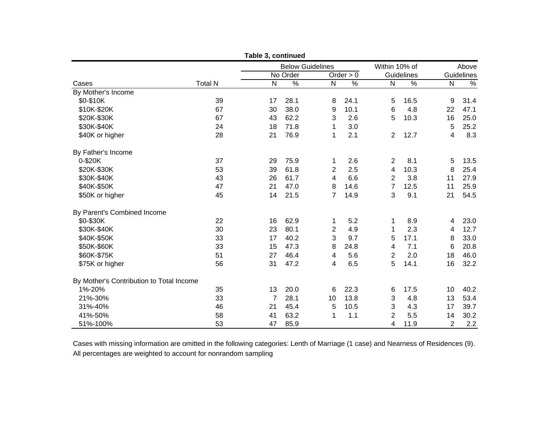|                                          |                | Table 3, continued |                         |                |             |                |            |    |            |
|------------------------------------------|----------------|--------------------|-------------------------|----------------|-------------|----------------|------------|----|------------|
|                                          |                |                    | <b>Below Guidelines</b> |                |             | Within 10% of  |            |    | Above      |
|                                          |                |                    | No Order                |                | Order $> 0$ |                | Guidelines |    | Guidelines |
| Cases                                    | <b>Total N</b> | N                  | $\%$                    | $\mathsf{N}$   | $\%$        | N              | %          | N  | %          |
| By Mother's Income                       |                |                    |                         |                |             |                |            |    |            |
| \$0-\$10K                                | 39             | 17                 | 28.1                    | 8              | 24.1        | 5              | 16.5       | 9  | 31.4       |
| \$10K-\$20K                              | 67             | 30                 | 38.0                    | 9              | 10.1        | 6              | 4.8        | 22 | 47.1       |
| \$20K-\$30K                              | 67             | 43                 | 62.2                    | 3              | 2.6         | 5              | 10.3       | 16 | 25.0       |
| \$30K-\$40K                              | 24             | 18                 | 71.8                    | 1              | 3.0         |                |            | 5  | 25.2       |
| \$40K or higher                          | 28             | 21                 | 76.9                    | 1              | 2.1         | $\overline{2}$ | 12.7       | 4  | 8.3        |
| By Father's Income                       |                |                    |                         |                |             |                |            |    |            |
| 0-\$20K                                  | 37             | 29                 | 75.9                    | 1              | 2.6         | 2              | 8.1        | 5  | 13.5       |
| \$20K-\$30K                              | 53             | 39                 | 61.8                    | $\overline{2}$ | 2.5         | 4              | 10.3       | 8  | 25.4       |
| \$30K-\$40K                              | 43             | 26                 | 61.7                    | 4              | 6.6         | 2              | 3.8        | 11 | 27.9       |
| \$40K-\$50K                              | 47             | 21                 | 47.0                    | 8              | 14.6        | $\overline{7}$ | 12.5       | 11 | 25.9       |
| \$50K or higher                          | 45             | 14                 | 21.5                    | $\overline{7}$ | 14.9        | 3              | 9.1        | 21 | 54.5       |
| By Parent's Combined Income              |                |                    |                         |                |             |                |            |    |            |
| \$0-\$30K                                | 22             | 16                 | 62.9                    | 1              | 5.2         | 1              | 8.9        | 4  | 23.0       |
| \$30K-\$40K                              | 30             | 23                 | 80.1                    | $\overline{2}$ | 4.9         | 1              | 2.3        | 4  | 12.7       |
| \$40K-\$50K                              | 33             | 17                 | 40.2                    | 3              | 9.7         | 5              | 17.1       | 8  | 33.0       |
| \$50K-\$60K                              | 33             | 15                 | 47.3                    | 8              | 24.8        | 4              | 7.1        | 6  | 20.8       |
| \$60K-\$75K                              | 51             | 27                 | 46.4                    | 4              | 5.6         | 2              | 2.0        | 18 | 46.0       |
| \$75K or higher                          | 56             | 31                 | 47.2                    | 4              | 6.5         | 5              | 14.1       | 16 | 32.2       |
| By Mother's Contribution to Total Income |                |                    |                         |                |             |                |            |    |            |
| 1%-20%                                   | 35             | 13                 | 20.0                    | 6              | 22.3        | 6              | 17.5       | 10 | 40.2       |
| 21%-30%                                  | 33             | 7                  | 28.1                    | 10             | 13.8        | 3              | 4.8        | 13 | 53.4       |
| 31%-40%                                  | 46             | 21                 | 45.4                    | 5              | 10.5        | 3              | 4.3        | 17 | 39.7       |
| 41%-50%                                  | 58             | 41                 | 63.2                    | 1              | 1.1         | 2              | 5.5        | 14 | 30.2       |
| 51%-100%                                 | 53             | 47                 | 85.9                    |                |             | 4              | 11.9       | 2  | 2.2        |

Cases with missing information are omitted in the following categories: Lenth of Marriage (1 case) and Nearness of Residences (9). All percentages are weighted to account for nonrandom sampling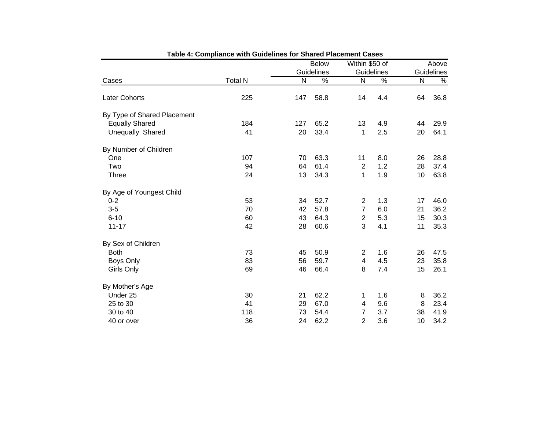|                             |                |              | <b>Below</b> |                  | Within \$50 of | Above |               |
|-----------------------------|----------------|--------------|--------------|------------------|----------------|-------|---------------|
|                             |                |              | Guidelines   |                  | Guidelines     |       | Guidelines    |
| Cases                       | <b>Total N</b> | $\mathsf{N}$ | %            | N                | %              | N     | $\frac{9}{6}$ |
| Later Cohorts               | 225            | 147          | 58.8         | 14               | 4.4            | 64    | 36.8          |
| By Type of Shared Placement |                |              |              |                  |                |       |               |
| <b>Equally Shared</b>       | 184            | 127          | 65.2         | 13               | 4.9            | 44    | 29.9          |
| Unequally Shared            | 41             | 20           | 33.4         | 1                | 2.5            | 20    | 64.1          |
| By Number of Children       |                |              |              |                  |                |       |               |
| One                         | 107            | 70           | 63.3         | 11               | 8.0            | 26    | 28.8          |
| Two                         | 94             | 64           | 61.4         | $\overline{2}$   | 1.2            | 28    | 37.4          |
| <b>Three</b>                | 24             | 13           | 34.3         | 1                | 1.9            | 10    | 63.8          |
| By Age of Youngest Child    |                |              |              |                  |                |       |               |
| $0 - 2$                     | 53             | 34           | 52.7         | $\overline{2}$   | 1.3            | 17    | 46.0          |
| $3-5$                       | 70             | 42           | 57.8         | $\overline{7}$   | 6.0            | 21    | 36.2          |
| $6 - 10$                    | 60             | 43           | 64.3         | $\boldsymbol{2}$ | 5.3            | 15    | 30.3          |
| $11 - 17$                   | 42             | 28           | 60.6         | 3                | 4.1            | 11    | 35.3          |
| By Sex of Children          |                |              |              |                  |                |       |               |
| <b>Both</b>                 | 73             | 45           | 50.9         | $\overline{2}$   | 1.6            | 26    | 47.5          |
| Boys Only                   | 83             | 56           | 59.7         | 4                | 4.5            | 23    | 35.8          |
| Girls Only                  | 69             | 46           | 66.4         | 8                | 7.4            | 15    | 26.1          |
| By Mother's Age             |                |              |              |                  |                |       |               |
| Under 25                    | 30             | 21           | 62.2         | 1                | 1.6            | 8     | 36.2          |
| 25 to 30                    | 41             | 29           | 67.0         | 4                | 9.6            | 8     | 23.4          |
| 30 to 40                    | 118            | 73           | 54.4         | 7                | 3.7            | 38    | 41.9          |
| 40 or over                  | 36             | 24           | 62.2         | $\overline{2}$   | 3.6            | 10    | 34.2          |

**Table 4: Compliance with Guidelines for Shared Placement Cases**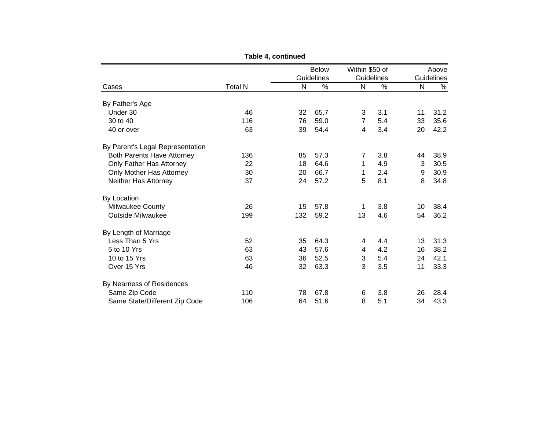|                                   |                |              | <b>Below</b> | Within \$50 of |            |              | Above      |
|-----------------------------------|----------------|--------------|--------------|----------------|------------|--------------|------------|
|                                   |                | Guidelines   |              |                | Guidelines |              | Guidelines |
| Cases                             | <b>Total N</b> | $\mathsf{N}$ | %            | $\mathsf{N}$   | %          | $\mathsf{N}$ | %          |
| By Father's Age                   |                |              |              |                |            |              |            |
| Under 30                          | 46             | 32           | 65.7         | 3              | 3.1        | 11           | 31.2       |
| 30 to 40                          | 116            | 76           | 59.0         | $\overline{7}$ | 5.4        | 33           | 35.6       |
| 40 or over                        | 63             | 39           | 54.4         | 4              | 3.4        | 20           | 42.2       |
| By Parent's Legal Representation  |                |              |              |                |            |              |            |
| <b>Both Parents Have Attorney</b> | 136            | 85           | 57.3         | 7              | 3.8        | 44           | 38.9       |
| Only Father Has Attorney          | 22             | 18           | 64.6         | 1              | 4.9        | 3            | 30.5       |
| Only Mother Has Attorney          | 30             | 20           | 66.7         | 1              | 2.4        | 9            | 30.9       |
| Neither Has Attorney              | 37             | 24           | 57.2         | 5              | 8.1        | 8            | 34.8       |
| By Location                       |                |              |              |                |            |              |            |
| Milwaukee County                  | 26             | 15           | 57.8         | 1              | 3.8        | 10           | 38.4       |
| <b>Outside Milwaukee</b>          | 199            | 132          | 59.2         | 13             | 4.6        | 54           | 36.2       |
| By Length of Marriage             |                |              |              |                |            |              |            |
| Less Than 5 Yrs                   | 52             | 35           | 64.3         | 4              | 4.4        | 13           | 31.3       |
| 5 to 10 Yrs                       | 63             | 43           | 57.6         | 4              | 4.2        | 16           | 38.2       |
| 10 to 15 Yrs                      | 63             | 36           | 52.5         | 3              | 5.4        | 24           | 42.1       |
| Over 15 Yrs                       | 46             | 32           | 63.3         | 3              | 3.5        | 11           | 33.3       |
| By Nearness of Residences         |                |              |              |                |            |              |            |
| Same Zip Code                     | 110            | 78           | 67.8         | 6              | 3.8        | 26           | 28.4       |
| Same State/Different Zip Code     | 106            | 64           | 51.6         | 8              | 5.1        | 34           | 43.3       |

**Table 4, continued**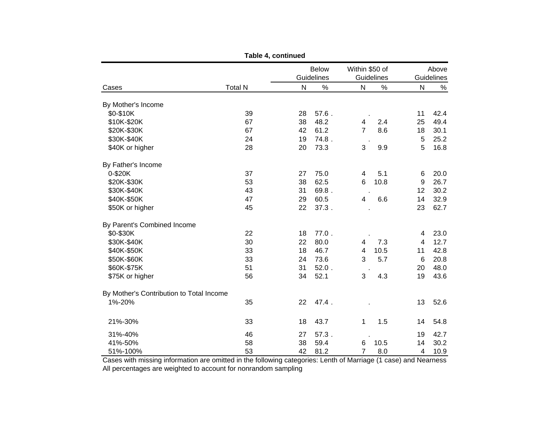|                                          |                | Table 4, continued |            |                         |      |                 |            |
|------------------------------------------|----------------|--------------------|------------|-------------------------|------|-----------------|------------|
|                                          |                | <b>Below</b>       |            | Within \$50 of          |      | Above           |            |
|                                          |                |                    | Guidelines | Guidelines              |      |                 | Guidelines |
| Cases                                    | <b>Total N</b> | N                  | $\%$       | N                       | $\%$ | $\mathsf{N}$    | %          |
| By Mother's Income                       |                |                    |            |                         |      |                 |            |
| \$0-\$10K                                | 39             | 28                 | $57.6$ .   |                         |      | 11              | 42.4       |
| \$10K-\$20K                              | 67             | 38                 | 48.2       | 4                       | 2.4  | 25              | 49.4       |
| \$20K-\$30K                              | 67             | 42                 | 61.2       | $\overline{7}$          | 8.6  | 18              | 30.1       |
| \$30K-\$40K                              | 24             | 19                 | 74.8.      |                         |      | 5               | 25.2       |
| \$40K or higher                          | 28             | 20                 | 73.3       | 3                       | 9.9  | 5               | 16.8       |
| By Father's Income                       |                |                    |            |                         |      |                 |            |
| 0-\$20K                                  | 37             | 27                 | 75.0       | 4                       | 5.1  | 6               | 20.0       |
| \$20K-\$30K                              | 53             | 38                 | 62.5       | 6                       | 10.8 | 9               | 26.7       |
| \$30K-\$40K                              | 43             | 31                 | 69.8.      |                         |      | 12              | 30.2       |
| \$40K-\$50K                              | 47             | 29                 | 60.5       | 4                       | 6.6  | 14              | 32.9       |
| \$50K or higher                          | 45             | 22                 | 37.3.      |                         |      | 23              | 62.7       |
| By Parent's Combined Income              |                |                    |            |                         |      |                 |            |
| \$0-\$30K                                | 22             | 18                 | $77.0$ .   |                         |      | 4               | 23.0       |
| \$30K-\$40K                              | 30             | 22                 | 80.0       | 4                       | 7.3  | 4               | 12.7       |
| \$40K-\$50K                              | 33             | 18                 | 46.7       | $\overline{\mathbf{4}}$ | 10.5 | 11              | 42.8       |
| \$50K-\$60K                              | 33             | 24                 | 73.6       | 3                       | 5.7  | $6\phantom{1}6$ | 20.8       |
| \$60K-\$75K                              | 51             | 31                 | $52.0$ .   |                         |      | 20              | 48.0       |
| \$75K or higher                          | 56             | 34                 | 52.1       | 3                       | 4.3  | 19              | 43.6       |
| By Mother's Contribution to Total Income |                |                    |            |                         |      |                 |            |
| 1%-20%                                   | 35             | 22                 | 47.4.      |                         |      | 13              | 52.6       |
| 21%-30%                                  | 33             | 18                 | 43.7       | 1                       | 1.5  | 14              | 54.8       |
| 31%-40%                                  | 46             | 27                 | $57.3$ .   |                         |      | 19              | 42.7       |
| 41%-50%                                  | 58             | 38                 | 59.4       | 6                       | 10.5 | 14              | 30.2       |
| 51%-100%                                 | 53             | 42                 | 81.2       | $\overline{7}$          | 8.0  | 4               | 10.9       |

 Cases with missing information are omitted in the following categories: Lenth of Marriage (1 case) and Nearness All percentages are weighted to account for nonrandom sampling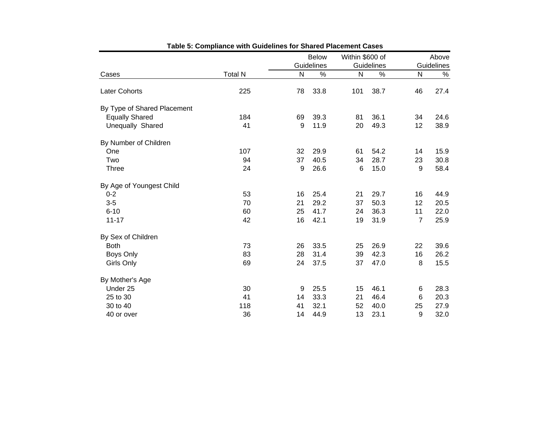|                             |                |    | <b>Below</b>  |     | Within \$600 of | Above          |            |
|-----------------------------|----------------|----|---------------|-----|-----------------|----------------|------------|
|                             |                |    | Guidelines    |     | Guidelines      |                | Guidelines |
| Cases                       | <b>Total N</b> | N  | $\frac{9}{6}$ | N   | %               | $\mathsf{N}$   | $\%$       |
| Later Cohorts               | 225            | 78 | 33.8          | 101 | 38.7            | 46             | 27.4       |
| By Type of Shared Placement |                |    |               |     |                 |                |            |
| <b>Equally Shared</b>       | 184            | 69 | 39.3          | 81  | 36.1            | 34             | 24.6       |
| Unequally Shared            | 41             | 9  | 11.9          | 20  | 49.3            | 12             | 38.9       |
| By Number of Children       |                |    |               |     |                 |                |            |
| One                         | 107            | 32 | 29.9          | 61  | 54.2            | 14             | 15.9       |
| Two                         | 94             | 37 | 40.5          | 34  | 28.7            | 23             | 30.8       |
| <b>Three</b>                | 24             | 9  | 26.6          | 6   | 15.0            | 9              | 58.4       |
| By Age of Youngest Child    |                |    |               |     |                 |                |            |
| $0 - 2$                     | 53             | 16 | 25.4          | 21  | 29.7            | 16             | 44.9       |
| $3-5$                       | 70             | 21 | 29.2          | 37  | 50.3            | 12             | 20.5       |
| $6 - 10$                    | 60             | 25 | 41.7          | 24  | 36.3            | 11             | 22.0       |
| $11 - 17$                   | 42             | 16 | 42.1          | 19  | 31.9            | $\overline{7}$ | 25.9       |
| By Sex of Children          |                |    |               |     |                 |                |            |
| <b>Both</b>                 | 73             | 26 | 33.5          | 25  | 26.9            | 22             | 39.6       |
| Boys Only                   | 83             | 28 | 31.4          | 39  | 42.3            | 16             | 26.2       |
| Girls Only                  | 69             | 24 | 37.5          | 37  | 47.0            | 8              | 15.5       |
| By Mother's Age             |                |    |               |     |                 |                |            |
| Under 25                    | 30             | 9  | 25.5          | 15  | 46.1            | 6              | 28.3       |
| 25 to 30                    | 41             | 14 | 33.3          | 21  | 46.4            | 6              | 20.3       |
| 30 to 40                    | 118            | 41 | 32.1          | 52  | 40.0            | 25             | 27.9       |
| 40 or over                  | 36             | 14 | 44.9          | 13  | 23.1            | 9              | 32.0       |

| Table 5: Compliance with Guidelines for Shared Placement Cases |  |  |
|----------------------------------------------------------------|--|--|
|----------------------------------------------------------------|--|--|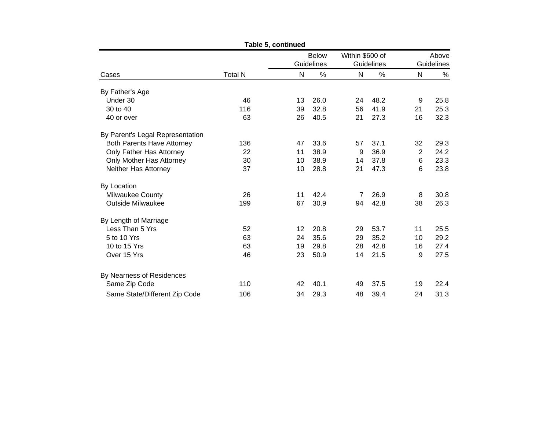| Table 5, continued                |                |                            |      |                               |      |                     |      |  |
|-----------------------------------|----------------|----------------------------|------|-------------------------------|------|---------------------|------|--|
|                                   |                | <b>Below</b><br>Guidelines |      | Within \$600 of<br>Guidelines |      | Above<br>Guidelines |      |  |
|                                   |                |                            |      |                               |      |                     |      |  |
| Cases                             | <b>Total N</b> | N                          | $\%$ | N                             | %    | N                   | %    |  |
| By Father's Age                   |                |                            |      |                               |      |                     |      |  |
| Under 30                          | 46             | 13                         | 26.0 | 24                            | 48.2 | 9                   | 25.8 |  |
| 30 to 40                          | 116            | 39                         | 32.8 | 56                            | 41.9 | 21                  | 25.3 |  |
| 40 or over                        | 63             | 26                         | 40.5 | 21                            | 27.3 | 16                  | 32.3 |  |
| By Parent's Legal Representation  |                |                            |      |                               |      |                     |      |  |
| <b>Both Parents Have Attorney</b> | 136            | 47                         | 33.6 | 57                            | 37.1 | 32                  | 29.3 |  |
| Only Father Has Attorney          | 22             | 11                         | 38.9 | 9                             | 36.9 | 2                   | 24.2 |  |
| Only Mother Has Attorney          | 30             | 10                         | 38.9 | 14                            | 37.8 | 6                   | 23.3 |  |
| Neither Has Attorney              | 37             | 10                         | 28.8 | 21                            | 47.3 | 6                   | 23.8 |  |
| By Location                       |                |                            |      |                               |      |                     |      |  |
| Milwaukee County                  | 26             | 11                         | 42.4 | 7                             | 26.9 | 8                   | 30.8 |  |
| <b>Outside Milwaukee</b>          | 199            | 67                         | 30.9 | 94                            | 42.8 | 38                  | 26.3 |  |
| By Length of Marriage             |                |                            |      |                               |      |                     |      |  |
| Less Than 5 Yrs                   | 52             | 12                         | 20.8 | 29                            | 53.7 | 11                  | 25.5 |  |
| 5 to 10 Yrs                       | 63             | 24                         | 35.6 | 29                            | 35.2 | 10                  | 29.2 |  |
| 10 to 15 Yrs                      | 63             | 19                         | 29.8 | 28                            | 42.8 | 16                  | 27.4 |  |
| Over 15 Yrs                       | 46             | 23                         | 50.9 | 14                            | 21.5 | 9                   | 27.5 |  |
| By Nearness of Residences         |                |                            |      |                               |      |                     |      |  |
| Same Zip Code                     | 110            | 42                         | 40.1 | 49                            | 37.5 | 19                  | 22.4 |  |
| Same State/Different Zip Code     | 106            | 34                         | 29.3 | 48                            | 39.4 | 24                  | 31.3 |  |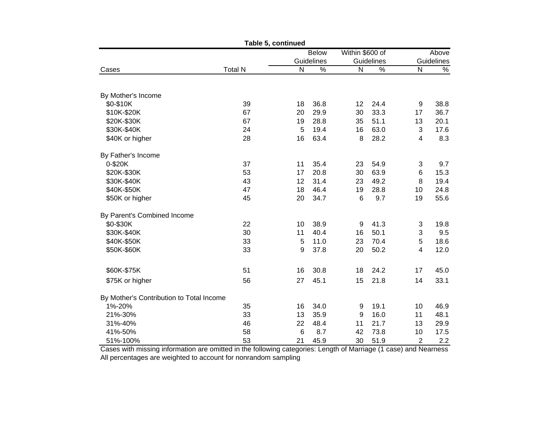|                                          |                | Table 5, continued |                                 |                |       |            |      |
|------------------------------------------|----------------|--------------------|---------------------------------|----------------|-------|------------|------|
|                                          |                |                    | Within \$600 of<br><b>Below</b> |                | Above |            |      |
|                                          |                | Guidelines         |                                 | Guidelines     |       | Guidelines |      |
| Cases                                    | <b>Total N</b> | ${\sf N}$          | $\%$                            | N              | $\%$  | ${\sf N}$  | $\%$ |
|                                          |                |                    |                                 |                |       |            |      |
| By Mother's Income                       |                |                    |                                 |                |       |            |      |
| \$0-\$10K                                | 39             | 18                 | 36.8                            | 12             | 24.4  | 9          | 38.8 |
| \$10K-\$20K                              | 67             | 20                 | 29.9                            | 30             | 33.3  | 17         | 36.7 |
| \$20K-\$30K                              | 67             | 19                 | 28.8                            | 35             | 51.1  | 13         | 20.1 |
| \$30K-\$40K                              | 24             | 5                  | 19.4                            | 16             | 63.0  | 3          | 17.6 |
| \$40K or higher                          | 28             | 16                 | 63.4                            | 8              | 28.2  | 4          | 8.3  |
| By Father's Income                       |                |                    |                                 |                |       |            |      |
| 0-\$20K                                  | 37             | 11                 | 35.4                            | 23             | 54.9  | 3          | 9.7  |
| \$20K-\$30K                              | 53             | 17                 | 20.8                            | 30             | 63.9  | $\,6\,$    | 15.3 |
| \$30K-\$40K                              | 43             | 12                 | 31.4                            | 23             | 49.2  | 8          | 19.4 |
| \$40K-\$50K                              | 47             | 18                 | 46.4                            | 19             | 28.8  | 10         | 24.8 |
| \$50K or higher                          | 45             | 20                 | 34.7                            | $6\phantom{1}$ | 9.7   | 19         | 55.6 |
| By Parent's Combined Income              |                |                    |                                 |                |       |            |      |
| \$0-\$30K                                | 22             | 10                 | 38.9                            | 9              | 41.3  | 3          | 19.8 |
| \$30K-\$40K                              | 30             | 11                 | 40.4                            | 16             | 50.1  | 3          | 9.5  |
| \$40K-\$50K                              | 33             | 5                  | 11.0                            | 23             | 70.4  | 5          | 18.6 |
| \$50K-\$60K                              | 33             | 9                  | 37.8                            | 20             | 50.2  | 4          | 12.0 |
| \$60K-\$75K                              | 51             | 16                 | 30.8                            | 18             | 24.2  | 17         | 45.0 |
| \$75K or higher                          | 56             | 27                 | 45.1                            | 15             | 21.8  | 14         | 33.1 |
|                                          |                |                    |                                 |                |       |            |      |
| By Mother's Contribution to Total Income |                |                    |                                 |                |       |            |      |
| 1%-20%                                   | 35             | 16                 | 34.0                            | 9              | 19.1  | 10         | 46.9 |
| 21%-30%                                  | 33             | 13                 | 35.9                            | 9              | 16.0  | 11         | 48.1 |
| 31%-40%                                  | 46             | 22                 | 48.4                            | 11             | 21.7  | 13         | 29.9 |
| 41%-50%                                  | 58             | $6\phantom{1}6$    | 8.7                             | 42             | 73.8  | 10         | 17.5 |
| 51%-100%                                 | 53             | 21                 | 45.9                            | 30             | 51.9  | 2          | 2.2  |

All percentages are weighted to account for nonrandom sampling Cases with missing information are omitted in the following categories: Length of Marriage (1 case) and Nearness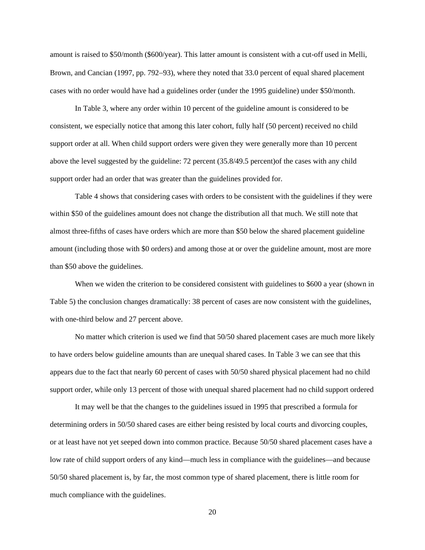amount is raised to \$50/month (\$600/year). This latter amount is consistent with a cut-off used in Melli, Brown, and Cancian (1997, pp. 792−93), where they noted that 33.0 percent of equal shared placement cases with no order would have had a guidelines order (under the 1995 guideline) under \$50/month.

In Table 3, where any order within 10 percent of the guideline amount is considered to be consistent, we especially notice that among this later cohort, fully half (50 percent) received no child support order at all. When child support orders were given they were generally more than 10 percent above the level suggested by the guideline: 72 percent (35.8/49.5 percent)of the cases with any child support order had an order that was greater than the guidelines provided for.

Table 4 shows that considering cases with orders to be consistent with the guidelines if they were within \$50 of the guidelines amount does not change the distribution all that much. We still note that almost three-fifths of cases have orders which are more than \$50 below the shared placement guideline amount (including those with \$0 orders) and among those at or over the guideline amount, most are more than \$50 above the guidelines.

When we widen the criterion to be considered consistent with guidelines to \$600 a year (shown in Table 5) the conclusion changes dramatically: 38 percent of cases are now consistent with the guidelines, with one-third below and 27 percent above.

No matter which criterion is used we find that 50/50 shared placement cases are much more likely to have orders below guideline amounts than are unequal shared cases. In Table 3 we can see that this appears due to the fact that nearly 60 percent of cases with 50/50 shared physical placement had no child support order, while only 13 percent of those with unequal shared placement had no child support ordered

It may well be that the changes to the guidelines issued in 1995 that prescribed a formula for determining orders in 50/50 shared cases are either being resisted by local courts and divorcing couples, or at least have not yet seeped down into common practice. Because 50/50 shared placement cases have a low rate of child support orders of any kind—much less in compliance with the guidelines—and because 50/50 shared placement is, by far, the most common type of shared placement, there is little room for much compliance with the guidelines.

20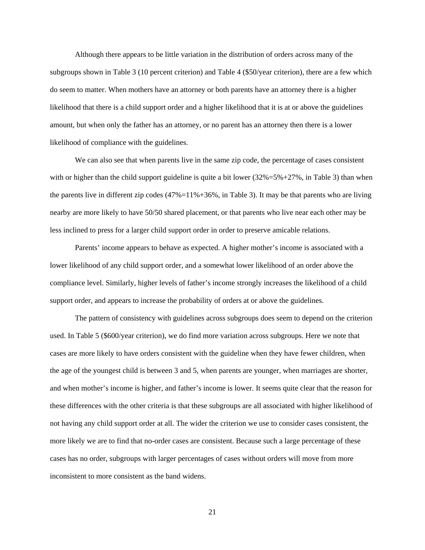Although there appears to be little variation in the distribution of orders across many of the subgroups shown in Table 3 (10 percent criterion) and Table 4 (\$50/year criterion), there are a few which do seem to matter. When mothers have an attorney or both parents have an attorney there is a higher likelihood that there is a child support order and a higher likelihood that it is at or above the guidelines amount, but when only the father has an attorney, or no parent has an attorney then there is a lower likelihood of compliance with the guidelines.

We can also see that when parents live in the same zip code, the percentage of cases consistent with or higher than the child support guideline is quite a bit lower  $(32\% = 5\% + 27\%$ , in Table 3) than when the parents live in different zip codes  $(47\%-11\% + 36\%)$ , in Table 3). It may be that parents who are living nearby are more likely to have 50/50 shared placement, or that parents who live near each other may be less inclined to press for a larger child support order in order to preserve amicable relations.

Parents' income appears to behave as expected. A higher mother's income is associated with a lower likelihood of any child support order, and a somewhat lower likelihood of an order above the compliance level. Similarly, higher levels of father's income strongly increases the likelihood of a child support order, and appears to increase the probability of orders at or above the guidelines.

The pattern of consistency with guidelines across subgroups does seem to depend on the criterion used. In Table 5 (\$600/year criterion), we do find more variation across subgroups. Here we note that cases are more likely to have orders consistent with the guideline when they have fewer children, when the age of the youngest child is between 3 and 5, when parents are younger, when marriages are shorter, and when mother's income is higher, and father's income is lower. It seems quite clear that the reason for these differences with the other criteria is that these subgroups are all associated with higher likelihood of not having any child support order at all. The wider the criterion we use to consider cases consistent, the more likely we are to find that no-order cases are consistent. Because such a large percentage of these cases has no order, subgroups with larger percentages of cases without orders will move from more inconsistent to more consistent as the band widens.

21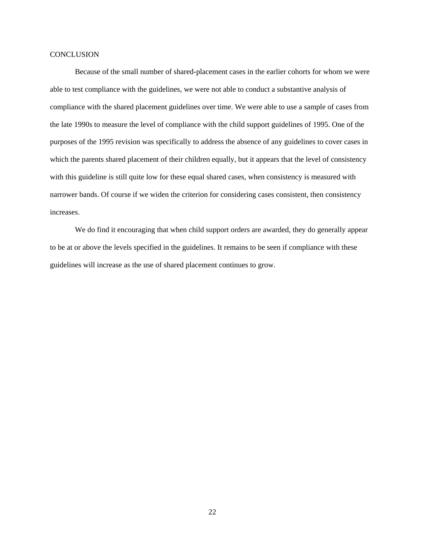# **CONCLUSION**

Because of the small number of shared-placement cases in the earlier cohorts for whom we were able to test compliance with the guidelines, we were not able to conduct a substantive analysis of compliance with the shared placement guidelines over time. We were able to use a sample of cases from the late 1990s to measure the level of compliance with the child support guidelines of 1995. One of the purposes of the 1995 revision was specifically to address the absence of any guidelines to cover cases in which the parents shared placement of their children equally, but it appears that the level of consistency with this guideline is still quite low for these equal shared cases, when consistency is measured with narrower bands. Of course if we widen the criterion for considering cases consistent, then consistency increases.

We do find it encouraging that when child support orders are awarded, they do generally appear to be at or above the levels specified in the guidelines. It remains to be seen if compliance with these guidelines will increase as the use of shared placement continues to grow.